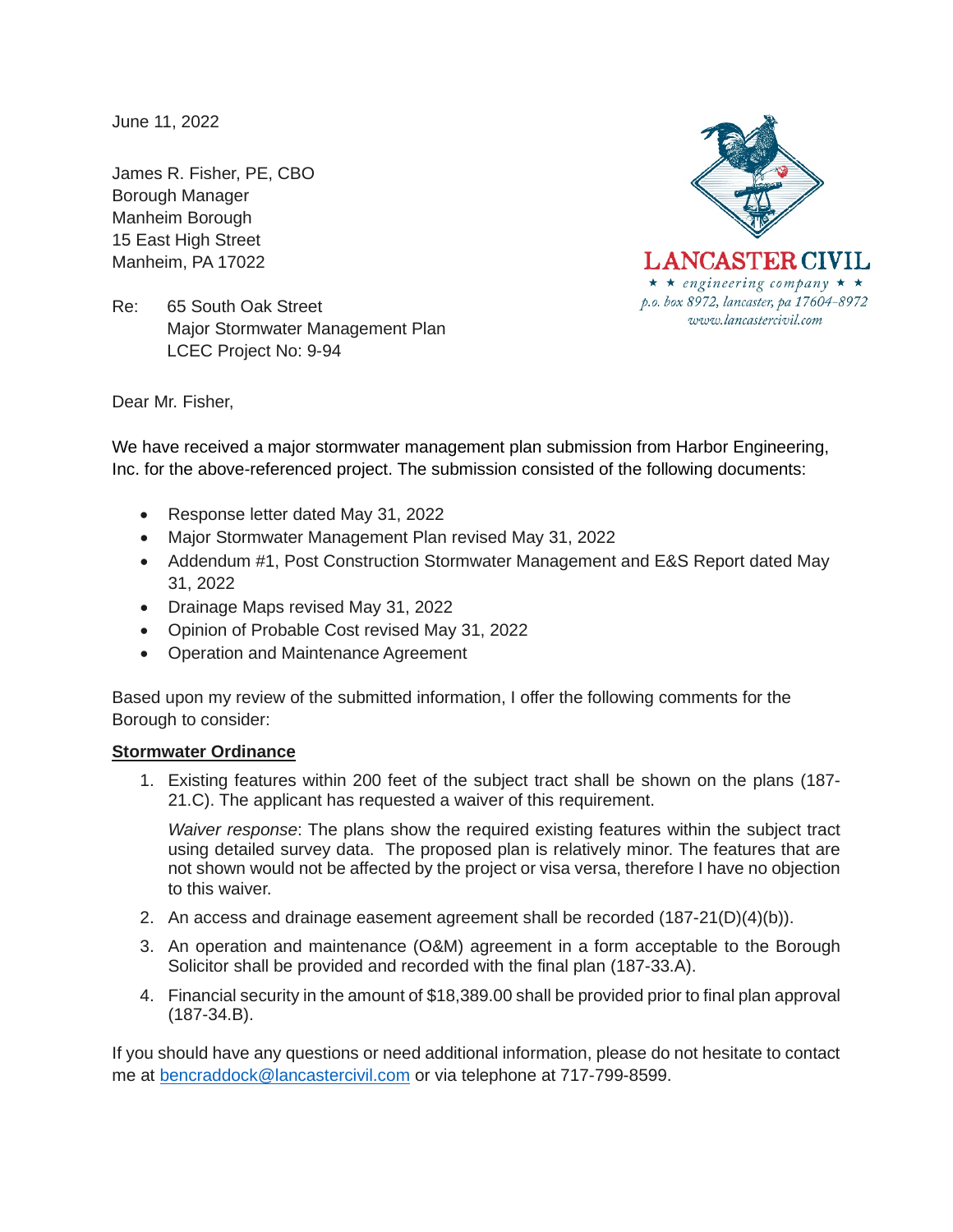June 11, 2022

James R. Fisher, PE, CBO Borough Manager Manheim Borough 15 East High Street Manheim, PA 17022





Dear Mr. Fisher,

We have received a major stormwater management plan submission from Harbor Engineering, Inc. for the above-referenced project. The submission consisted of the following documents:

- Response letter dated May 31, 2022
- Major Stormwater Management Plan revised May 31, 2022
- Addendum #1, Post Construction Stormwater Management and E&S Report dated May 31, 2022
- Drainage Maps revised May 31, 2022
- Opinion of Probable Cost revised May 31, 2022
- Operation and Maintenance Agreement

Based upon my review of the submitted information, I offer the following comments for the Borough to consider:

## **Stormwater Ordinance**

1. Existing features within 200 feet of the subject tract shall be shown on the plans (187- 21.C). The applicant has requested a waiver of this requirement.

*Waiver response*: The plans show the required existing features within the subject tract using detailed survey data. The proposed plan is relatively minor. The features that are not shown would not be affected by the project or visa versa, therefore I have no objection to this waiver.

- 2. An access and drainage easement agreement shall be recorded (187-21(D)(4)(b)).
- 3. An operation and maintenance (O&M) agreement in a form acceptable to the Borough Solicitor shall be provided and recorded with the final plan (187-33.A).
- 4. Financial security in the amount of \$18,389.00 shall be provided prior to final plan approval (187-34.B).

If you should have any questions or need additional information, please do not hesitate to contact me at [bencraddock@lancastercivil.com](mailto:bencraddock@lancastercivil.com) or via telephone at 717-799-8599.